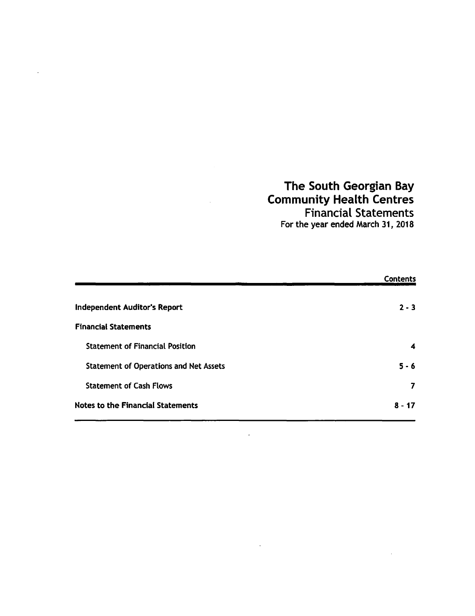# The South Georgian Bay Community Health Centres Financial Statements For the year ended March 31, 2018

|                                               | <b>Contents</b> |
|-----------------------------------------------|-----------------|
| Independent Auditor's Report                  | $2 - 3$         |
| <b>Financial Statements</b>                   |                 |
| <b>Statement of Financial Position</b>        | 4               |
| <b>Statement of Operations and Net Assets</b> | $5 - 6$         |
| <b>Statement of Cash Flows</b>                | 7               |
| <b>Notes to the Financial Statements</b>      | $8 - 17$        |

 $\cdot$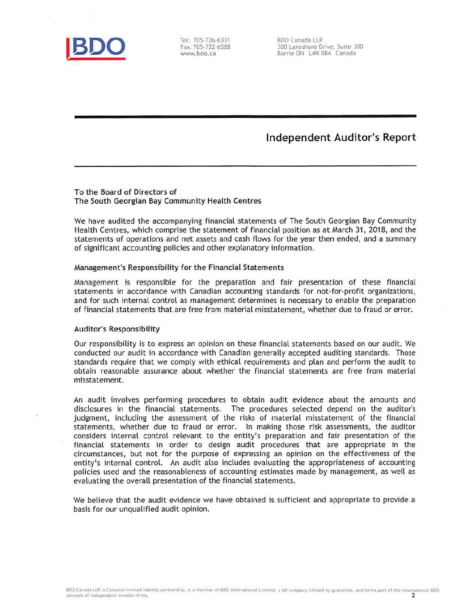

Tel: 705· 726·6331 Fax: 705· *7n6588* www.bdo.(1 BOO Canada LLP 300 Lakeshore Drive, Suite 300 Barrie ON L4N OB4 Canada

Independent Auditor's Report

To the Board of Directors of The South Georgian Bay Community Health Centres

We have audited the accompanying financial statements of The South Georgian Bay Community Health Centres, which comprise the statement of financial position as at March 31, 2018, and the statements of operations and net assets and cash flows for the year then ended, and a summary of significant accounting policies and other explanatory information.

#### Management's Responsibility for the Financial Statements

Management is responsible for the preparation and fair presentation of these financial statements in accordance with Canadian accounting standards for not-for-profit organizations, and for such internal control as management determines is necessary to enable the preparation of financial statements that are free from material misstatement, whether due to fraud or error.

#### Auditor's Responsibility

Our responsibility is to express an opinion on these financial statements based on our audit. We conducted our audit in accordance with Canadian generally accepted auditing standards. Those standards require that we comply with ethical requirements and plan and perform the audit to obtain reasonable assurance about whether the financial statements are free from material misstatement.

An audit involves performing procedures to obtain audit evidence about the amounts and disclosures in the financial statements. The procedures selected depend on the auditor's judgment, including the assessment of the risks of material misstatement of the financial statements, whether due to fraud or error. In making those risk assessments, the auditor considers internal control relevant to the entity's preparation and fair presentation of the financial statements in order to design audit procedures that are appropriate in the circumstances, but not for the purpose of expressing an opinion on the effectiveness of the entity's internal control. An audit also includes evaluating the appropriateness of accounting policies used and the reasonableness of accounting estimates made by management, as well as evaluating the overall presentation of the financial statements.

We believe that the audit evidence we have obtained is sufficient and appropriate to provide a basis for our unqualified audit opinion.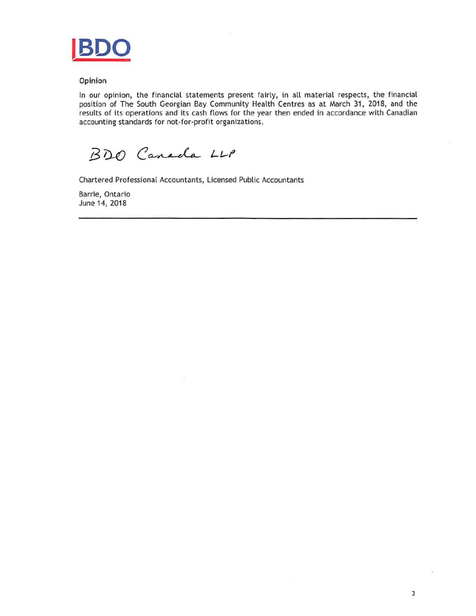

### Opinion

In our opinion, the financial statements present fairly, in all material respects, the financial position of The South Georgian Bay Community Health Centres as at March 31, 2018, and the results of its operations and its cash flows for the year then ended in accordance with Canadian accounting standards for not-for-profit organizations.

J

BDO Canada LLP

Chartered Professional Accountants, Licensed Public Accountants

Barrie, Ontario June 14,2018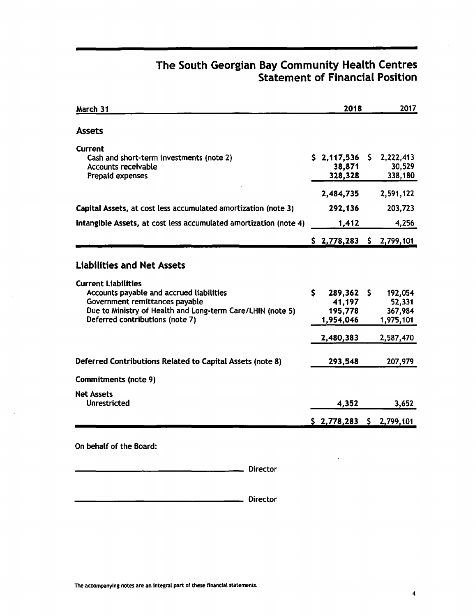# The South Georgian Bay Community Health Centres Statement of Financial Position

| March 31                                                                                                                                                                                                  | 2018 |                                           |     | 2017                                      |
|-----------------------------------------------------------------------------------------------------------------------------------------------------------------------------------------------------------|------|-------------------------------------------|-----|-------------------------------------------|
| <b>Assets</b>                                                                                                                                                                                             |      |                                           |     |                                           |
| Current<br>Cash and short-term investments (note 2)<br><b>Accounts receivable</b><br>Prepaid expenses                                                                                                     |      | \$2,117,536<br>38,871<br>328,328          | \$. | 2,222,413<br>30,529<br>338,180            |
|                                                                                                                                                                                                           |      | 2,484,735                                 |     | 2,591,122                                 |
| Capital Assets, at cost less accumulated amortization (note 3)                                                                                                                                            |      | 292,136                                   |     | 203,723                                   |
| Intangible Assets, at cost less accumulated amortization (note 4)                                                                                                                                         |      | 1,412                                     |     | 4,256                                     |
|                                                                                                                                                                                                           |      | $$2,778,283$ $$2,799,101$                 |     |                                           |
| <b>Liabilities and Net Assets</b>                                                                                                                                                                         |      |                                           |     |                                           |
| <b>Current Liabilities</b><br>Accounts payable and accrued liabilities<br>Government remittances payable<br>Due to Ministry of Health and Long-term Care/LHIN (note 5)<br>Deferred contributions (note 7) | \$   | 289,362<br>41,197<br>195,778<br>1,954,046 | \$. | 192,054<br>52,331<br>367,984<br>1,975,101 |
|                                                                                                                                                                                                           |      | 2,480,383                                 |     | 2,587,470                                 |
| Deferred Contributions Related to Capital Assets (note 8)                                                                                                                                                 |      | 293,548                                   |     | 207,979                                   |
| Commitments (note 9)                                                                                                                                                                                      |      |                                           |     |                                           |
| <b>Net Assets</b><br><b>Unrestricted</b>                                                                                                                                                                  |      | 4,352                                     |     | 3,652                                     |
|                                                                                                                                                                                                           |      | $$2,778,283$ $$2,799,101$                 |     |                                           |
| On behalf of the Board:                                                                                                                                                                                   |      |                                           |     |                                           |
| <b>Director</b>                                                                                                                                                                                           |      |                                           |     |                                           |

\_\_\_\_\_\_\_\_\_\_\_\_\_\_\_\_ Director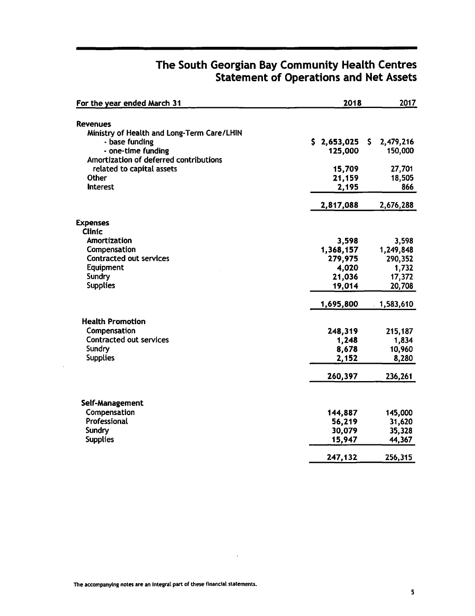| The South Georgian Bay Community Health Centres |  |                                               |  |
|-------------------------------------------------|--|-----------------------------------------------|--|
|                                                 |  | <b>Statement of Operations and Net Assets</b> |  |

| For the year ended March 31                                                        | 2018                   | 2017                        |
|------------------------------------------------------------------------------------|------------------------|-----------------------------|
| <b>Revenues</b>                                                                    |                        |                             |
| Ministry of Health and Long-Term Care/LHIN<br>- base funding<br>- one-time funding | \$2,653,025<br>125,000 | \$.<br>2,479,216<br>150,000 |
| Amortization of deferred contributions<br>related to capital assets                | 15,709                 | 27,701                      |
| <b>Other</b>                                                                       | 21,159                 | 18,505                      |
| <b>Interest</b>                                                                    | 2,195                  | 866                         |
|                                                                                    | 2,817,088              | 2,676,288                   |
| <b>Expenses</b>                                                                    |                        |                             |
| <b>Clinic</b>                                                                      |                        |                             |
| Amortization                                                                       | 3,598                  | 3,598                       |
| Compensation                                                                       | 1,368,157              | 1,249,848                   |
| <b>Contracted out services</b><br>Equipment                                        | 279,975<br>4,020       | 290,352                     |
| Sundry                                                                             | 21,036                 | 1,732<br>17,372             |
| <b>Supplies</b>                                                                    | 19,014                 | 20,708                      |
|                                                                                    | 1,695,800              | 1,583,610                   |
| <b>Health Promotion</b>                                                            |                        |                             |
| Compensation                                                                       | 248,319                | 215,187                     |
| Contracted out services                                                            | 1,248                  | 1,834                       |
| Sundry                                                                             | 8,678                  | 10,960                      |
| <b>Supplies</b>                                                                    | 2,152                  | 8,280                       |
|                                                                                    | 260,397                | 236,261                     |
| Self-Management                                                                    |                        |                             |
| Compensation                                                                       | 144,887                | 145,000                     |
| Professional                                                                       | 56,219                 | 31,620                      |
| Sundry                                                                             | 30,079                 | 35,328                      |
| <b>Supplies</b>                                                                    | 15,947                 | 44,367                      |
|                                                                                    | 247,132                | 256,315                     |

 $\mathcal{L}^{\text{max}}$  , where  $\mathcal{L}^{\text{max}}$ 

 $\mathcal{L}^{\mathcal{A}}$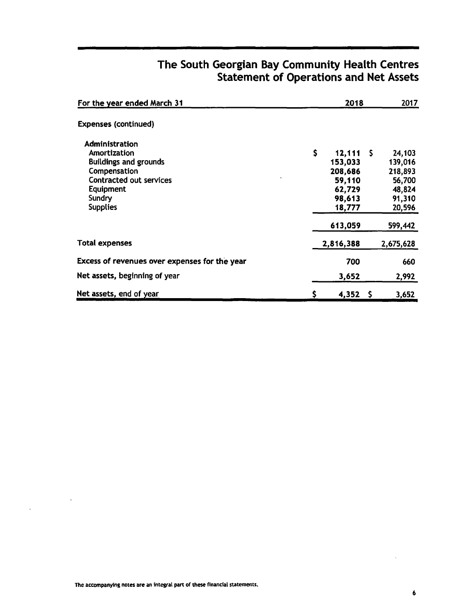# The South Georgian Bay Community Health Centres Statement of Operations and Net Assets

| For the year ended March 31                   | 2018 | 2017        |     |           |
|-----------------------------------------------|------|-------------|-----|-----------|
| <b>Expenses (continued)</b>                   |      |             |     |           |
| Administration<br>Amortization                | \$   | $12,111$ \$ |     | 24,103    |
| <b>Buildings and grounds</b>                  |      | 153,033     |     | 139,016   |
| Compensation                                  |      | 208,686     |     | 218,893   |
| <b>Contracted out services</b>                |      | 59,110      |     | 56,700    |
| Equipment                                     |      | 62,729      |     | 48,824    |
| Sundry                                        |      | 98,613      |     | 91,310    |
| <b>Supplies</b>                               |      | 18,777      |     | 20,596    |
|                                               |      | 613,059     |     | 599,442   |
| <b>Total expenses</b>                         |      | 2,816,388   |     | 2,675,628 |
| Excess of revenues over expenses for the year |      | 700         |     | 660       |
| Net assets, beginning of year                 |      | 3,652       |     | 2,992     |
| Net assets, end of year                       | \$   | 4,352       | - 5 | 3,652     |

 $\sim$ 

 $\ddot{\phantom{a}}$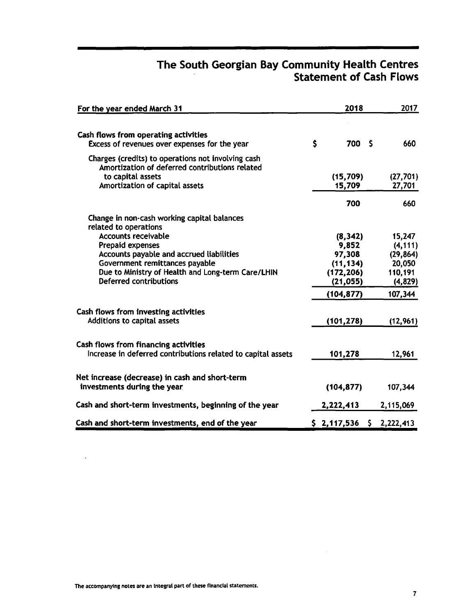# **The South Georgian Bay Community Health Centres Statement of** Cash Flows

| For the year ended March 31                                                                                               |              | 2018                          | 2017      |  |
|---------------------------------------------------------------------------------------------------------------------------|--------------|-------------------------------|-----------|--|
|                                                                                                                           |              |                               |           |  |
| Cash flows from operating activities<br>Excess of revenues over expenses for the year                                     | $\mathsf{S}$ | 700 \$                        | 660       |  |
| Charges (credits) to operations not involving cash<br>Amortization of deferred contributions related<br>to capital assets |              | (15, 709)                     | (27, 701) |  |
| Amortization of capital assets                                                                                            |              | 15,709                        | 27,701    |  |
|                                                                                                                           |              | 700                           | 660       |  |
| Change in non-cash working capital balances<br>related to operations                                                      |              |                               |           |  |
| <b>Accounts receivable</b>                                                                                                |              | (8, 342)                      | 15,247    |  |
| Prepaid expenses                                                                                                          |              | 9,852                         | (4, 111)  |  |
| Accounts payable and accrued liabilities                                                                                  |              | 97,308                        | (29, 864) |  |
| Government remittances payable                                                                                            |              | (11, 134)                     | 20,050    |  |
| Due to Ministry of Health and Long-term Care/LHIN                                                                         |              | (172, 206)                    | 110,191   |  |
| Deferred contributions                                                                                                    |              | (21, 055)                     | (4,829)   |  |
|                                                                                                                           |              | (104, 877)                    | 107,344   |  |
| Cash flows from investing activities                                                                                      |              |                               |           |  |
| Additions to capital assets                                                                                               |              | (101, 278)                    | (12, 961) |  |
| Cash flows from financing activities                                                                                      |              |                               |           |  |
| Increase in deferred contributions related to capital assets                                                              |              | 101,278                       | 12,961    |  |
| Net increase (decrease) in cash and short-term                                                                            |              |                               |           |  |
| investments during the year                                                                                               |              | (104, 877)                    | 107,344   |  |
| Cash and short-term investments, beginning of the year                                                                    |              | 2,222,413                     | 2,115,069 |  |
| Cash and short-term investments, end of the year                                                                          |              | $$2,117,536 \quad $2,222,413$ |           |  |

 $\sim$  .

 $\sim 10^{-11}$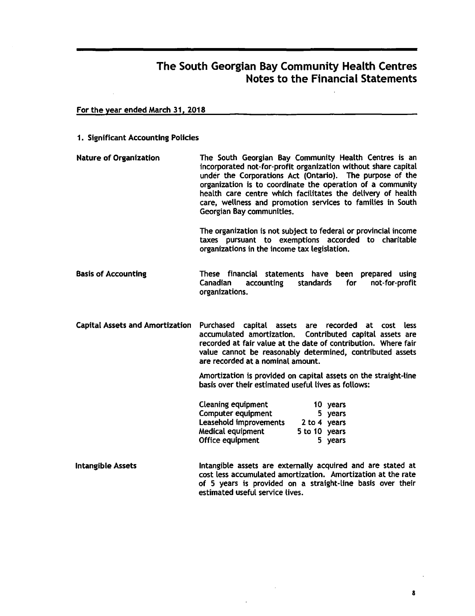### For the year ended March 31, 2018

#### 1. Significant Accounting Policies

Nature of Organization The South Georgian Bay Community Health Centres is an incorporated not-for-profit organization without share capital under the Corporations Act (Ontario). The purpose of the organization is to coordinate the operation of a community health care centre which facilitates the delivery of health care, wellness and promotion services to families in South Georgian Bay communities.

> The organization is not subject to federal or provincial income taxes pursuant to exemptions accorded to charitable organizations in the income tax legislation.

Basis of Accounting These financial statements have been prepared using<br>Canadian accounting standards for not-for-profit for not-for-profit organizations.

Capital Assets and Amortization Purchased capital assets are recorded at cost less accumulated amortization. Contributed capital assets are recorded at fair value at the date of contribution. Where fair value cannot be reasonably determined, contributed assets are recorded at a nominal amount.

> Amortization is provided on capital assets on the straight-line basis over their estimated useful lives as follows:

| <b>Cleaning equipment</b> |               | 10 years |
|---------------------------|---------------|----------|
| Computer equipment        |               | 5 years  |
| Leasehold improvements    | 2 to 4 years  |          |
| Medical equipment         | 5 to 10 years |          |
| Office equipment          |               | 5 years  |

Intangible Assets Intangible assets are externally acquired and are stated at cost less accumulated amortization. Amortization at the rate of 5 years is provided on a straight-line basis over their estimated useful service lives.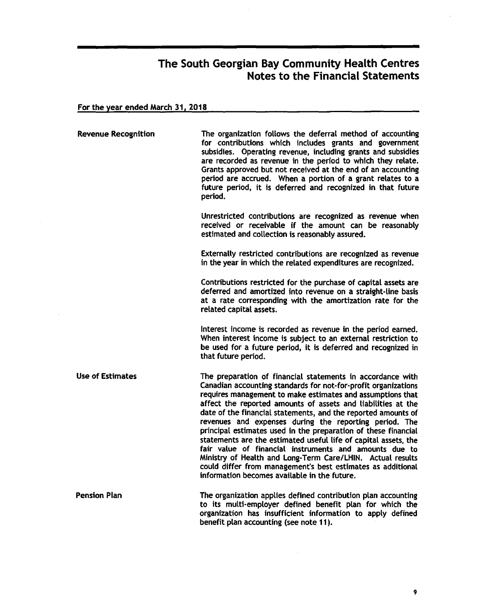<u> 1980 - Johann John Harry Harry Harry Harry Harry Harry Harry Harry Harry Harry Harry Harry Harry Harry Harry</u>

# For the year ended March 31, 2018

| <b>Revenue Recognition</b> | The organization follows the deferral method of accounting<br>for contributions which includes grants and government<br>subsidies. Operating revenue, including grants and subsidies<br>are recorded as revenue in the period to which they relate.<br>Grants approved but not received at the end of an accounting<br>period are accrued. When a portion of a grant relates to a<br>future period, it is deferred and recognized in that future<br>period.                                                                                                                                                                                                                                                                                                       |
|----------------------------|-------------------------------------------------------------------------------------------------------------------------------------------------------------------------------------------------------------------------------------------------------------------------------------------------------------------------------------------------------------------------------------------------------------------------------------------------------------------------------------------------------------------------------------------------------------------------------------------------------------------------------------------------------------------------------------------------------------------------------------------------------------------|
|                            | Unrestricted contributions are recognized as revenue when<br>received or receivable if the amount can be reasonably<br>estimated and collection is reasonably assured.                                                                                                                                                                                                                                                                                                                                                                                                                                                                                                                                                                                            |
|                            | Externally restricted contributions are recognized as revenue<br>in the year in which the related expenditures are recognized.                                                                                                                                                                                                                                                                                                                                                                                                                                                                                                                                                                                                                                    |
|                            | Contributions restricted for the purchase of capital assets are<br>deferred and amortized into revenue on a straight-line basis<br>at a rate corresponding with the amortization rate for the<br>related capital assets.                                                                                                                                                                                                                                                                                                                                                                                                                                                                                                                                          |
|                            | Interest income is recorded as revenue in the period earned.<br>When interest income is subject to an external restriction to<br>be used for a future period, it is deferred and recognized in<br>that future period.                                                                                                                                                                                                                                                                                                                                                                                                                                                                                                                                             |
| <b>Use of Estimates</b>    | The preparation of financial statements in accordance with<br>Canadian accounting standards for not-for-profit organizations<br>requires management to make estimates and assumptions that<br>affect the reported amounts of assets and liabilities at the<br>date of the financial statements, and the reported amounts of<br>revenues and expenses during the reporting period. The<br>principal estimates used in the preparation of these financial<br>statements are the estimated useful life of capital assets, the<br>fair value of financial instruments and amounts due to<br>Ministry of Health and Long-Term Care/LHIN. Actual results<br>could differ from management's best estimates as additional<br>information becomes available in the future. |
| <b>Pension Plan</b>        | The organization applies defined contribution plan accounting<br>to its multi-employer defined benefit plan for which the<br>organization has insufficient information to apply defined<br>benefit plan accounting (see note 11).                                                                                                                                                                                                                                                                                                                                                                                                                                                                                                                                 |

 $\hat{\mathcal{A}}$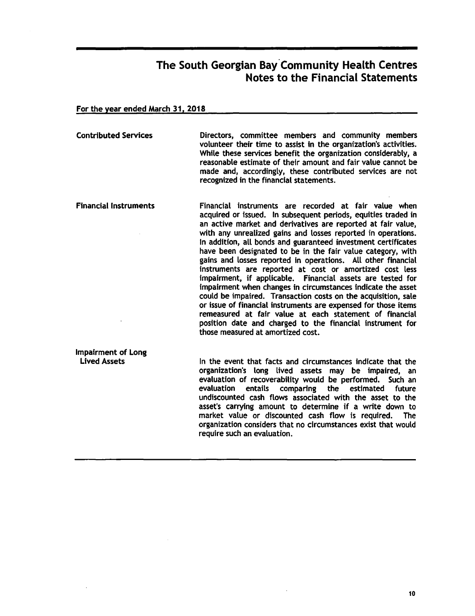#### For the year ended March 31, 2018

Contributed Services Directors, committee members and community members volunteer their time to assist in the organization's activities. While these services benefit the organization considerably, a reasonable estimate of their amount and fair value cannot be made and, accordingly, these contributed services are not recognized in the financial statements.

Financial Instruments Financial instruments are recorded at fair value when acquired or issued. In subsequent periods, equities traded in an active market and derivatives are reported at fair value, with any unrealized gains and losses reported in operations. In addition, aU bonds and guaranteed investment certificates have been designated to be in the fair value category, with gains and losses reported in operations. All other financial instruments are reported at cost or amortized cost less impairment, if applicable. Financial assets are tested for impairment when changes in circumstances indicate the asset could be impaired. Transaction costs on the acquisition, sale or issue of financial instruments are expensed for those items remeasured at fair value at each statement of financial position date and charged to the financial instrument for those measured at amortized cost.

> In the event that facts and circumstances indicate that the organization's long lived assets may be impaired, an evaluation of recoverability would be performed. Such an evaluation entails comparing the estimated future undiscounted cash flows associated with the asset to the asset's carrying amount to determine if a write down to market value or discounted cash flow is required. The organization considers that no circumstances exist that would require such an evaluation.

Impairment of Long Lived Assets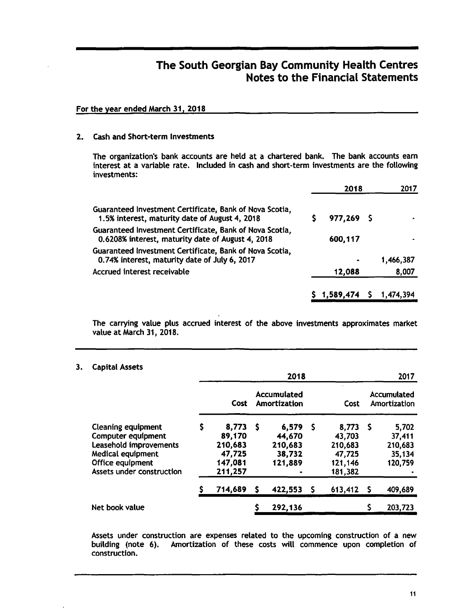### For the year ended March 31, 2018

### 2. Cash and Short-term Investments

The organization's bank accounts are held at a chartered bank. The bank accounts earn interest at a variable rate. Included in cash and short-term investments are the following investments:

|                                                                                                              | 2018         | 2017       |
|--------------------------------------------------------------------------------------------------------------|--------------|------------|
| Guaranteed Investment Certificate, Bank of Nova Scotia,<br>1.5% interest, maturity date of August 4, 2018    | $977,269$ \$ |            |
| Guaranteed Investment Certificate, Bank of Nova Scotia,<br>0.6208% interest, maturity date of August 4, 2018 | 600,117      |            |
| Guaranteed Investment Certificate, Bank of Nova Scotia,<br>0.74% interest, maturity date of July 6, 2017     |              | 1,466,387  |
| Accrued interest receivable                                                                                  | 12,088       | 8,007      |
|                                                                                                              | \$1,589,474  | l .474.394 |

The carrying value plus accrued interest of the above investments approximates market value at March 31, 2018.

# 3. Capital Assets

|                                                                                                                                                 | 2018 |                                                            |    |                                                 |   |                                                            | 2017 |                                                 |
|-------------------------------------------------------------------------------------------------------------------------------------------------|------|------------------------------------------------------------|----|-------------------------------------------------|---|------------------------------------------------------------|------|-------------------------------------------------|
|                                                                                                                                                 |      | Cost                                                       |    | Accumulated<br>Amortization                     |   | Cost                                                       |      | Accumulated<br>Amortization                     |
| <b>Cleaning equipment</b><br>Computer equipment<br>Leasehold improvements<br>Medical equipment<br>Office equipment<br>Assets under construction |      | 8,773<br>89,170<br>210,683<br>47,725<br>147,081<br>211,257 | -S | 6,579<br>44,670<br>210,683<br>38,732<br>121,889 | S | 8,773<br>43,703<br>210,683<br>47,725<br>121,146<br>181,382 | S.   | 5,702<br>37,411<br>210,683<br>35,134<br>120,759 |
|                                                                                                                                                 |      | 714,689                                                    | s  | 422,553                                         | S | 613,412                                                    | S    | 409,689                                         |
| Net book value                                                                                                                                  |      |                                                            |    | 292,136                                         |   |                                                            |      | 203,723                                         |

Assets under construction are expenses related to the upcoming construction of a new building (note 6). Amortization of these costs wilt commence upon completion of construction.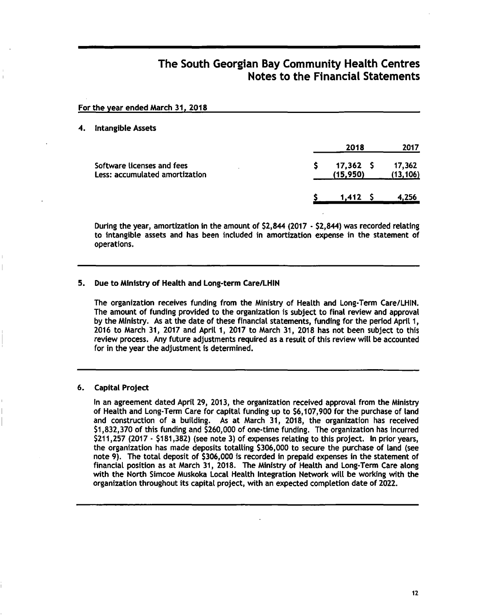| For the year ended March 31, 2018 |  |  |  |
|-----------------------------------|--|--|--|
|                                   |  |  |  |

#### 4. Intangible Assets

|                                                              | 2018                        | 2017                |
|--------------------------------------------------------------|-----------------------------|---------------------|
| Software licenses and fees<br>Less: accumulated amortization | $17,362 \quad$<br>(15, 950) | 17,362<br>(13, 106) |
|                                                              | $1,412$ \$                  | 4.256               |

During the year, amortization in the amount of \$2,844 (2017 - \$2,844) was recorded relating to intangible assets and has been included in amortization expense in the statement of operations.

#### 5. Due to Ministry of Health and Long-term Care/LHIN

The organization receives funding from the Ministry of Health and Long-Term Care/LHIN. The amount of funding provided to the organization is subject to final review and approval by the Ministry. As at the date of these financial statements, funding for the period April 1, 2016 to March 31, 2017 and April 1, 2017 to March 31,2018 has not been subject to this review process. Any future adjustments required as a result of this review will be accounted for in the year the adjustment is determined.

### 6. Capital Project

In an agreement dated April 29, 2013, the organization received approval from the Ministry of Health and Long-Term Care for capital funding up to \$6,107,900 for the purchase of land and construction of a building. As at March 31, 2018, the organization has received \$1,832,370 of this funding and \$260,000 of one-time funding. The organization has incurred \$211,257 (2017 - \$181,382) (see note 3) of expenses relating to this project. In prior years, the organization has made deposits totalling \$306,000 to secure the purchase of land (see note 9). The total deposit of \$306,000 is recorded in prepaid expenses in the statement of financial position as at March 31, 2018. The Ministry of Health and Long-Term Care along with the North Simcoe Muskoka Local Health Integration Network will be working with the organization throughout its capital project, with an expected completion date of 2022.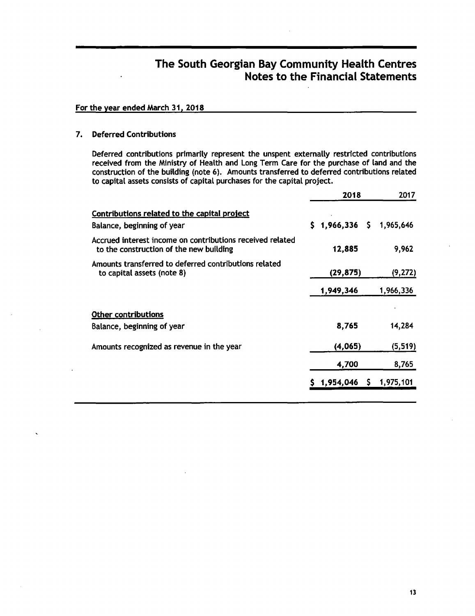#### For the year ended March 31, 2018

#### 7. Deferred Contributions

Deferred contributions primarily represent the unspent externally restricted contributions received from the Ministry of Health and Long Term Care for the purchase of land and the construction of the building (note 6). Amounts transferred to deferred contributions related to capital assets consists of capital purchases for the capital project.

|                                                                                                      | 2018                          | 2017              |
|------------------------------------------------------------------------------------------------------|-------------------------------|-------------------|
| Contributions related to the capital project<br>Balance, beginning of year                           | $$1,966,336 \quad $1,965,646$ |                   |
| Accrued interest income on contributions received related<br>to the construction of the new building | 12,885                        | 9,962             |
| Amounts transferred to deferred contributions related<br>to capital assets (note 8)                  | (29, 875)                     | (9, 272)          |
|                                                                                                      | 1,949,346                     | 1,966,336         |
| <b>Other contributions</b>                                                                           |                               |                   |
| Balance, beginning of year<br>Amounts recognized as revenue in the year                              | 8,765<br>(4,065)              | 14,284            |
|                                                                                                      | 4,700                         | (5, 519)<br>8,765 |
|                                                                                                      | $1,954,046$ \$                | 1,975,101         |
|                                                                                                      |                               |                   |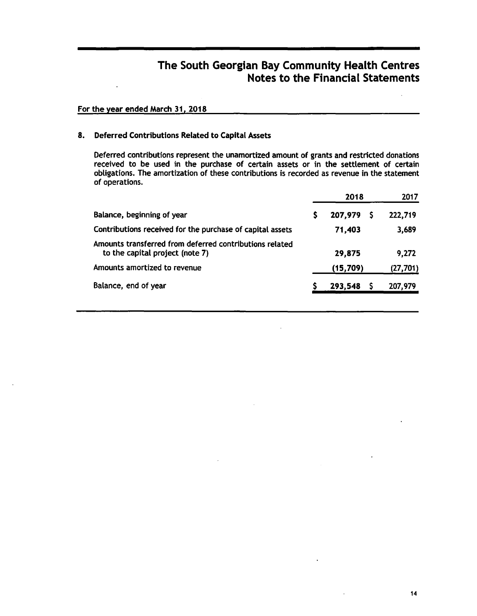### For the year ended March 31, 2018

## 8. Deferred Contributions Related to Capital Assets

Deferred contributions represent the unamortized amount of grants and restricted donations received to be used in the purchase of certain assets or in the settlement of certain obligations. The amortization of these contributions is recorded as revenue in the statement of operations.

|                                                                                            | 2018         | 2017      |
|--------------------------------------------------------------------------------------------|--------------|-----------|
| Balance, beginning of year                                                                 | 207,979<br>s | 222,719   |
| Contributions received for the purchase of capital assets                                  | 71,403       | 3,689     |
| Amounts transferred from deferred contributions related<br>to the capital project (note 7) | 29,875       | 9,272     |
| Amounts amortized to revenue                                                               | (15, 709)    | (27, 701) |
| Balance, end of year                                                                       | 293,548      | 207,979   |
|                                                                                            |              |           |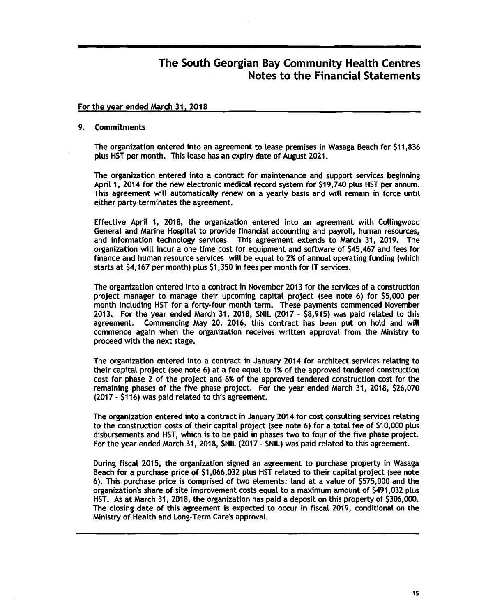# For the year ended March 31, 2018

#### 9. Commitments

The organization entered into an agreement to lease premises in Wasaga Beach for \$11,836 plus HST per month. This lease has an expiry date of August 2021.

The organization entered into a contract for maintenance and support services beginning April 1, 2014 for the new electronic medical record system for \$19,740 plus HST per annum. This agreement will automatically renew on a yearly basis and will remain in force until either party terminates the agreement.

Effective April 1, 2018, the organization entered into an agreement with Collingwood General and Marine Hospital to provide financial accounting and payroll, human resources, and information technology services. This agreement extends to March 31, 2019. The organization will incur a one time cost for equipment and software of \$45,467 and fees for finance and human resource services will be equal to 2% of annual operating funding (which starts at \$4,167 per month) plus \$1,350 in fees per month for IT services.

The organization entered into a contract in November 2013 for the services of a construction project manager to manage their upcoming capital project (see note 6) for \$5,000 per month including HST for a forty-four month term. These payments commenced November 2013. For the year ended March 31, 2018, \$NIL (2017 - \$8,915) was paid related to this agreement. Commencing May 20, 2016, this contract has been put on hold and will commence again when the organization receives written approval from the Ministry to proceed with the next stage.

The organization entered into a contract in January 2014 for architect services relating to their capital project (see note 6) at a fee equal to 1% of the approved tendered construction cost for phase 2 of the project and 8% of the approved tendered construction cost for the remaining phases of the five phase project. For the year ended March 31, 2018, \$26,070 (2017 - \$116) was paid related to this agreement.

The organization entered into a contract in January 2014 for cost consulting services relating to the construction costs of their capital project (see note 6) for a total fee of \$10,000 plus disbursements and HST, which is to be paid in phases two to four of the five phase project. For the year ended March 31, 2018, \$NIL (2017 - \$NIL) was paid related to this agreement.

During fiscal 2015, the organization signed an agreement to purchase property in Wasaga Beach for a purchase price of \$1,066,032 plus HST related to their capital project (see note 6). This purchase price is comprised of two elements: land at a value of \$575,000 and the organization's share of site improvement costs equal to a maximum amount of \$491,032 plus HST. As at March 31, 2018, the organization has paid a deposit on this property of \$306,000. The closing date of this agreement is expected to occur in fiscal 2019, conditional on the Ministry of Health and Long-Term Care's approval.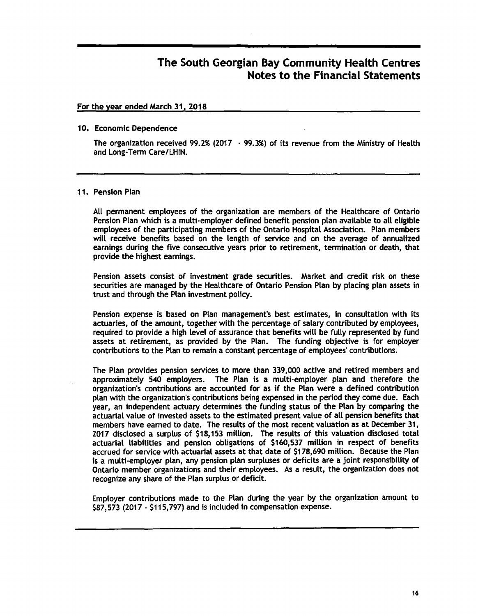## For the year ended March 31, 2018

### 10. Economic Dependence

The organization received 99.2% (2017  $\cdot$  99.3%) of its revenue from the Ministry of Health and Long-Term Care/LHIN.

## 11. Penston Plan

All permanent employees of the organization are members of the Healthcare of Ontario Pension Plan which is a multi-employer defined benefit pension plan available to all eligible employees of the participating members of the Ontario Hospital Association. Plan members will receive benefits based' on the length of service and on the average of annualized earnings during the five consecutive years prior to retirement, termination or death, that provide the highest earnings.

Pension assets consist of investment grade securities. Market and credit risk on these securities are managed by the Healthcare of Ontario Pension Plan by placing plan assets in trust and through the Plan investment policy.

Pension expense is based on Plan management's best estimates, in consultation with its actuaries, of the amount, together with the percentage of salary contributed by employees, required to provide a high level of assurance that benefits will be fully represented by fund assets at retirement, as provided by the Plan. The funding objective is for employer contributions to the Plan to remain a constant percentage of employees' contributions.

The Plan provides pension services to more than 339,000 active and retired members and approximately 540 employers. The Plan is a multi-employer plan and therefore the organization's contributions are accounted for as if the Plan were a defined contribution plan with the organization's contributions being expensed in the period they come due. Each year, an independent actuary determines the funding status of the Plan by comparing the actuarial value of invested assets to the estimated present value of all pension benefits that members have earned to date. The results of the most recent valuation as at December 31, 2017 disclosed a surplus of \$18,153 million. The results of this valuation disclosed total actuarial liabilities and pension obligations of \$160,537 million in respect of benefits accrued for service with actuarial assets at that date of \$178,690 million. Because the Plan is a multi-employer plan, any pension plan surpluses or deficits are a joint responsibility of Ontario member organizations and their employees, As a result, the organization does not recognize any share of the Plan surplus or deficit.

Employer contributions made to the Plan during the year by the organization amount to \$87,573 (2017 - \$115,797) and is included in compensation expense.